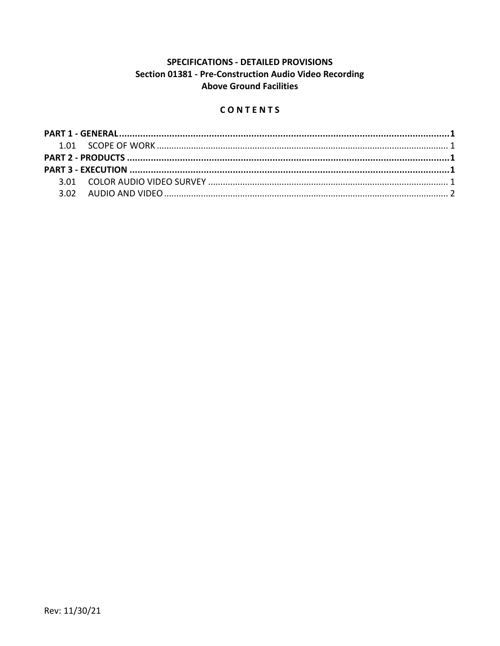## SPECIFICATIONS - DETAILED PROVISIONS Section 01381 - Pre-Construction Audio Video Recording **Above Ground Facilities**

## CONTENTS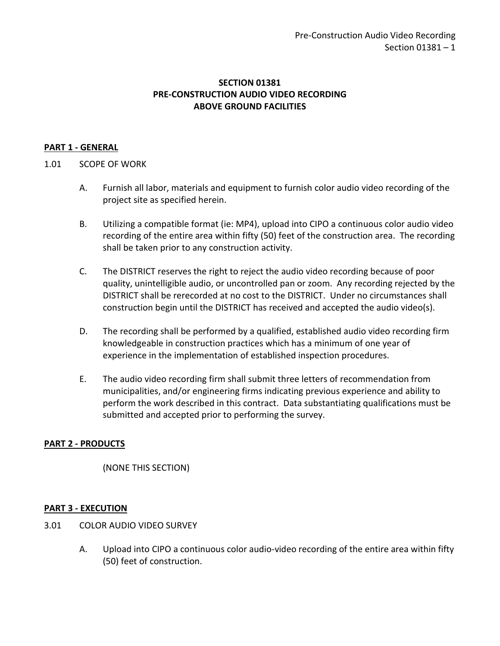### **SECTION 01381 PRE-CONSTRUCTION AUDIO VIDEO RECORDING ABOVE GROUND FACILITIES**

### <span id="page-2-0"></span>**PART 1 - GENERAL**

### <span id="page-2-1"></span>1.01 SCOPE OF WORK

- A. Furnish all labor, materials and equipment to furnish color audio video recording of the project site as specified herein.
- B. Utilizing a compatible format (ie: MP4), upload into CIPO a continuous color audio video recording of the entire area within fifty (50) feet of the construction area. The recording shall be taken prior to any construction activity.
- C. The DISTRICT reserves the right to reject the audio video recording because of poor quality, unintelligible audio, or uncontrolled pan or zoom. Any recording rejected by the DISTRICT shall be rerecorded at no cost to the DISTRICT. Under no circumstances shall construction begin until the DISTRICT has received and accepted the audio video(s).
- D. The recording shall be performed by a qualified, established audio video recording firm knowledgeable in construction practices which has a minimum of one year of experience in the implementation of established inspection procedures.
- E. The audio video recording firm shall submit three letters of recommendation from municipalities, and/or engineering firms indicating previous experience and ability to perform the work described in this contract. Data substantiating qualifications must be submitted and accepted prior to performing the survey.

#### <span id="page-2-2"></span>**PART 2 - PRODUCTS**

(NONE THIS SECTION)

### <span id="page-2-3"></span>**PART 3 - EXECUTION**

- <span id="page-2-4"></span>3.01 COLOR AUDIO VIDEO SURVEY
	- A. Upload into CIPO a continuous color audio-video recording of the entire area within fifty (50) feet of construction.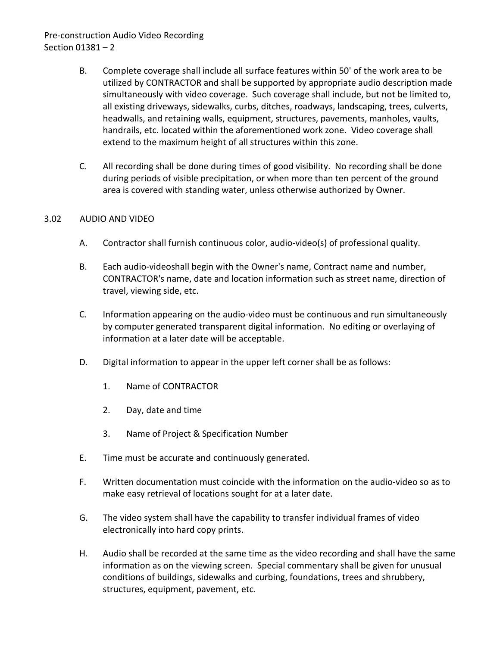# Pre-construction Audio Video Recording Section 01381 – 2

- B. Complete coverage shall include all surface features within 50' of the work area to be utilized by CONTRACTOR and shall be supported by appropriate audio description made simultaneously with video coverage. Such coverage shall include, but not be limited to, all existing driveways, sidewalks, curbs, ditches, roadways, landscaping, trees, culverts, headwalls, and retaining walls, equipment, structures, pavements, manholes, vaults, handrails, etc. located within the aforementioned work zone. Video coverage shall extend to the maximum height of all structures within this zone.
- C. All recording shall be done during times of good visibility. No recording shall be done during periods of visible precipitation, or when more than ten percent of the ground area is covered with standing water, unless otherwise authorized by Owner.

#### <span id="page-3-0"></span>3.02 AUDIO AND VIDEO

- A. Contractor shall furnish continuous color, audio-video(s) of professional quality.
- B. Each audio-videoshall begin with the Owner's name, Contract name and number, CONTRACTOR's name, date and location information such as street name, direction of travel, viewing side, etc.
- C. Information appearing on the audio-video must be continuous and run simultaneously by computer generated transparent digital information. No editing or overlaying of information at a later date will be acceptable.
- D. Digital information to appear in the upper left corner shall be as follows:
	- 1. Name of CONTRACTOR
	- 2. Day, date and time
	- 3. Name of Project & Specification Number
- E. Time must be accurate and continuously generated.
- F. Written documentation must coincide with the information on the audio-video so as to make easy retrieval of locations sought for at a later date.
- G. The video system shall have the capability to transfer individual frames of video electronically into hard copy prints.
- H. Audio shall be recorded at the same time as the video recording and shall have the same information as on the viewing screen. Special commentary shall be given for unusual conditions of buildings, sidewalks and curbing, foundations, trees and shrubbery, structures, equipment, pavement, etc.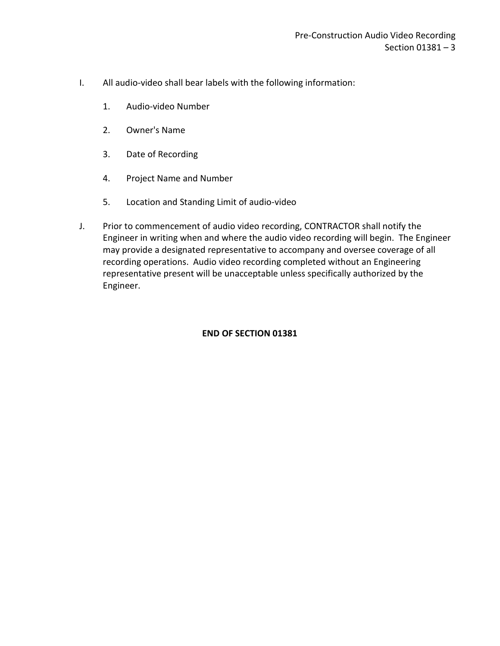- I. All audio-video shall bear labels with the following information:
	- 1. Audio-video Number
	- 2. Owner's Name
	- 3. Date of Recording
	- 4. Project Name and Number
	- 5. Location and Standing Limit of audio-video
- J. Prior to commencement of audio video recording, CONTRACTOR shall notify the Engineer in writing when and where the audio video recording will begin. The Engineer may provide a designated representative to accompany and oversee coverage of all recording operations. Audio video recording completed without an Engineering representative present will be unacceptable unless specifically authorized by the Engineer.

#### **END OF SECTION 01381**